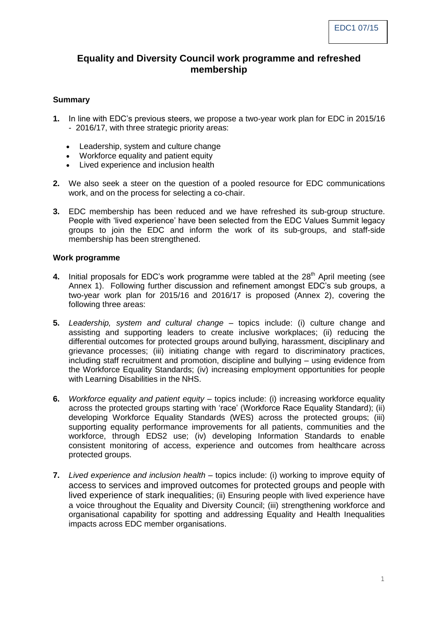## **Equality and Diversity Council work programme and refreshed membership**

#### **Summary**

- **1.** In line with EDC's previous steers, we propose a two-year work plan for EDC in 2015/16 - 2016/17, with three strategic priority areas:
	- Leadership, system and culture change
	- Workforce equality and patient equity
	- Lived experience and inclusion health
- **2.** We also seek a steer on the question of a pooled resource for EDC communications work, and on the process for selecting a co-chair.
- **3.** EDC membership has been reduced and we have refreshed its sub-group structure. People with 'lived experience' have been selected from the EDC Values Summit legacy groups to join the EDC and inform the work of its sub-groups, and staff-side membership has been strengthened.

#### **Work programme**

- **4.** Initial proposals for EDC's work programme were tabled at the 28<sup>th</sup> April meeting (see Annex 1). Following further discussion and refinement amongst EDC's sub groups, a two-year work plan for 2015/16 and 2016/17 is proposed (Annex 2), covering the following three areas:
- **5.** *Leadership, system and cultural change* topics include: (i) culture change and assisting and supporting leaders to create inclusive workplaces; (ii) reducing the differential outcomes for protected groups around bullying, harassment, disciplinary and grievance processes; (iii) initiating change with regard to discriminatory practices, including staff recruitment and promotion, discipline and bullying – using evidence from the Workforce Equality Standards; (iv) increasing employment opportunities for people with Learning Disabilities in the NHS.
- **6.** *Workforce equality and patient equity* topics include: (i) increasing workforce equality across the protected groups starting with 'race' (Workforce Race Equality Standard); (ii) developing Workforce Equality Standards (WES) across the protected groups; (iii) supporting equality performance improvements for all patients, communities and the workforce, through EDS2 use; (iv) developing Information Standards to enable consistent monitoring of access, experience and outcomes from healthcare across protected groups.
- **7.** *Lived experience and inclusion health* topics include: (i) working to improve equity of access to services and improved outcomes for protected groups and people with lived experience of stark inequalities; (ii) Ensuring people with lived experience have a voice throughout the Equality and Diversity Council; (iii) strengthening workforce and organisational capability for spotting and addressing Equality and Health Inequalities impacts across EDC member organisations.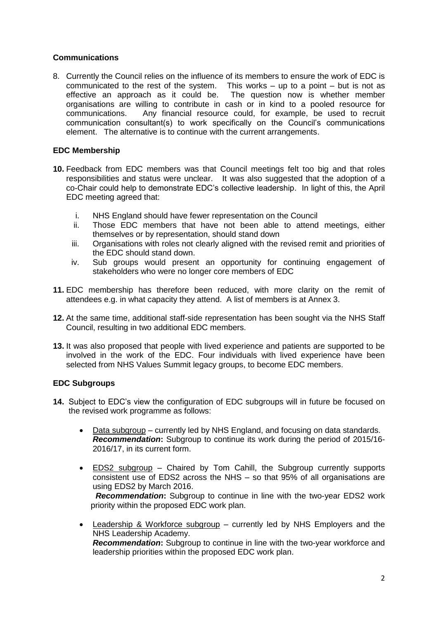### **Communications**

8. Currently the Council relies on the influence of its members to ensure the work of EDC is communicated to the rest of the system. This works  $-$  up to a point  $-$  but is not as effective an approach as it could be. The question now is whether member The question now is whether member organisations are willing to contribute in cash or in kind to a pooled resource for communications. Any financial resource could, for example, be used to recruit communication consultant(s) to work specifically on the Council's communications element. The alternative is to continue with the current arrangements.

### **EDC Membership**

- **10.** Feedback from EDC members was that Council meetings felt too big and that roles responsibilities and status were unclear. It was also suggested that the adoption of a co-Chair could help to demonstrate EDC's collective leadership. In light of this, the April EDC meeting agreed that:
	- i. NHS England should have fewer representation on the Council
	- ii. Those EDC members that have not been able to attend meetings, either themselves or by representation, should stand down
	- iii. Organisations with roles not clearly aligned with the revised remit and priorities of the EDC should stand down.
	- iv. Sub groups would present an opportunity for continuing engagement of stakeholders who were no longer core members of EDC
- **11.** EDC membership has therefore been reduced, with more clarity on the remit of attendees e.g. in what capacity they attend. A list of members is at Annex 3.
- **12.** At the same time, additional staff-side representation has been sought via the NHS Staff Council, resulting in two additional EDC members.
- **13.** It was also proposed that people with lived experience and patients are supported to be involved in the work of the EDC. Four individuals with lived experience have been selected from NHS Values Summit legacy groups, to become EDC members.

#### **EDC Subgroups**

- **14.** Subject to EDC's view the configuration of EDC subgroups will in future be focused on the revised work programme as follows:
	- Data subgroup currently led by NHS England, and focusing on data standards. *Recommendation***:** Subgroup to continue its work during the period of 2015/16- 2016/17, in its current form.
	- EDS2 subgroup Chaired by Tom Cahill, the Subgroup currently supports consistent use of EDS2 across the NHS – so that 95% of all organisations are using EDS2 by March 2016.

 *Recommendation***:** Subgroup to continue in line with the two-year EDS2 work priority within the proposed EDC work plan.

 Leadership & Workforce subgroup – currently led by NHS Employers and the NHS Leadership Academy. *Recommendation***:** Subgroup to continue in line with the two-year workforce and leadership priorities within the proposed EDC work plan.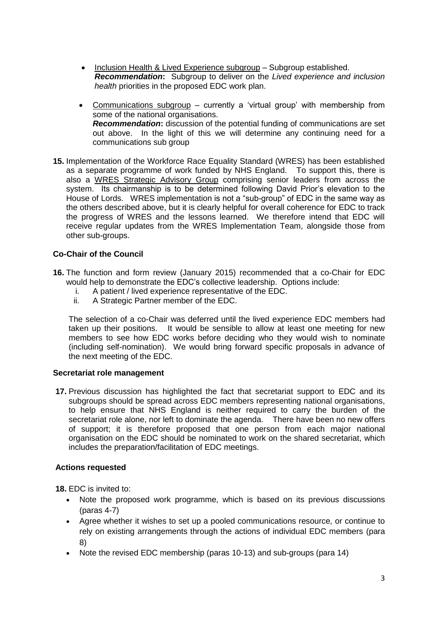- Inclusion Health & Lived Experience subgroup Subgroup established. *Recommendation***:** Subgroup to deliver on the *Lived experience and inclusion health* priorities in the proposed EDC work plan.
- Communications subgroup currently a 'virtual group' with membership from some of the national organisations. *Recommendation***:** discussion of the potential funding of communications are set out above. In the light of this we will determine any continuing need for a communications sub group
- **15.** Implementation of the Workforce Race Equality Standard (WRES) has been established as a separate programme of work funded by NHS England. To support this, there is also a WRES Strategic Advisory Group comprising senior leaders from across the system. Its chairmanship is to be determined following David Prior's elevation to the House of Lords. WRES implementation is not a "sub-group" of EDC in the same way as the others described above, but it is clearly helpful for overall coherence for EDC to track the progress of WRES and the lessons learned. We therefore intend that EDC will receive regular updates from the WRES Implementation Team, alongside those from other sub-groups.

### **Co-Chair of the Council**

- **16.** The function and form review (January 2015) recommended that a co-Chair for EDC would help to demonstrate the EDC's collective leadership. Options include:
	- i. A patient / lived experience representative of the EDC.
	- ii. A Strategic Partner member of the EDC.

The selection of a co-Chair was deferred until the lived experience EDC members had taken up their positions. It would be sensible to allow at least one meeting for new members to see how EDC works before deciding who they would wish to nominate (including self-nomination). We would bring forward specific proposals in advance of the next meeting of the EDC.

### **Secretariat role management**

**17.** Previous discussion has highlighted the fact that secretariat support to EDC and its subgroups should be spread across EDC members representing national organisations, to help ensure that NHS England is neither required to carry the burden of the secretariat role alone, nor left to dominate the agenda. There have been no new offers of support; it is therefore proposed that one person from each major national organisation on the EDC should be nominated to work on the shared secretariat, which includes the preparation/facilitation of EDC meetings.

#### **Actions requested**

**18.** EDC is invited to:

- Note the proposed work programme, which is based on its previous discussions (paras 4-7)
- Agree whether it wishes to set up a pooled communications resource, or continue to rely on existing arrangements through the actions of individual EDC members (para 8)
- Note the revised EDC membership (paras 10-13) and sub-groups (para 14)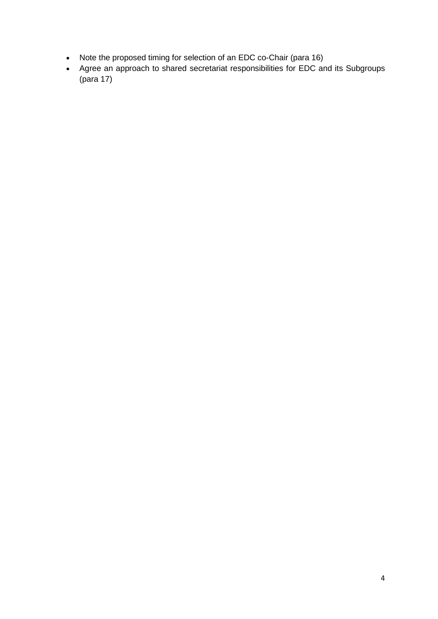- Note the proposed timing for selection of an EDC co-Chair (para 16)
- Agree an approach to shared secretariat responsibilities for EDC and its Subgroups (para 17)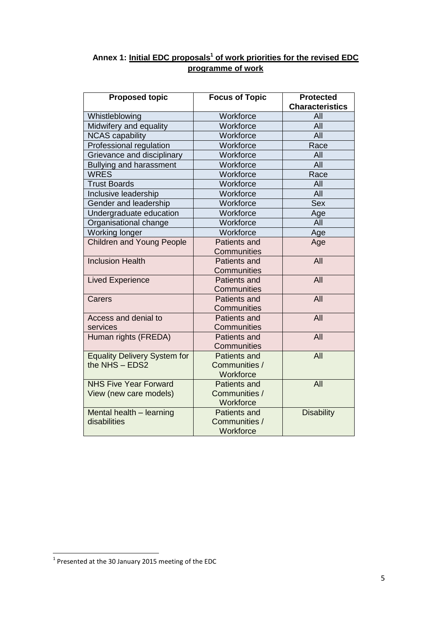# **Annex 1: Initial EDC proposals<sup>1</sup> of work priorities for the revised EDC programme of work**

| <b>Proposed topic</b>               | <b>Focus of Topic</b>      | <b>Protected</b><br><b>Characteristics</b> |
|-------------------------------------|----------------------------|--------------------------------------------|
| Whistleblowing                      | Workforce                  | All                                        |
| Midwifery and equality              | Workforce                  | All                                        |
| <b>NCAS capability</b>              | Workforce                  | All                                        |
| Professional regulation             | Workforce                  | Race                                       |
| Grievance and disciplinary          | Workforce                  | All                                        |
| <b>Bullying and harassment</b>      | Workforce                  | All                                        |
| <b>WRES</b>                         | Workforce                  | Race                                       |
| <b>Trust Boards</b>                 | Workforce                  | All                                        |
| Inclusive leadership                | Workforce                  | <b>All</b>                                 |
| Gender and leadership               | Workforce                  | <b>Sex</b>                                 |
| Undergraduate education             | Workforce                  | Age                                        |
| Organisational change               | Workforce                  | AII                                        |
| Working longer                      | Workforce                  | Age                                        |
| <b>Children and Young People</b>    | <b>Patients and</b>        | Age                                        |
|                                     | Communities                |                                            |
| <b>Inclusion Health</b>             | Patients and               | All                                        |
|                                     | Communities                |                                            |
| <b>Lived Experience</b>             | Patients and               | All                                        |
|                                     | Communities                |                                            |
| Carers                              | <b>Patients and</b>        | All                                        |
|                                     | Communities                |                                            |
| Access and denial to                | Patients and               | All                                        |
| services                            | Communities                |                                            |
| Human rights (FREDA)                | <b>Patients and</b>        | All                                        |
|                                     | Communities                |                                            |
| <b>Equality Delivery System for</b> | <b>Patients and</b>        | All                                        |
| the NHS - EDS2                      | Communities /              |                                            |
|                                     | Workforce                  |                                            |
| <b>NHS Five Year Forward</b>        | <b>Patients and</b>        | All                                        |
| View (new care models)              | Communities /<br>Workforce |                                            |
| Mental health - learning            | <b>Patients and</b>        | <b>Disability</b>                          |
| disabilities                        | Communities /              |                                            |
|                                     | Workforce                  |                                            |
|                                     |                            |                                            |

 1 Presented at the 30 January 2015 meeting of the EDC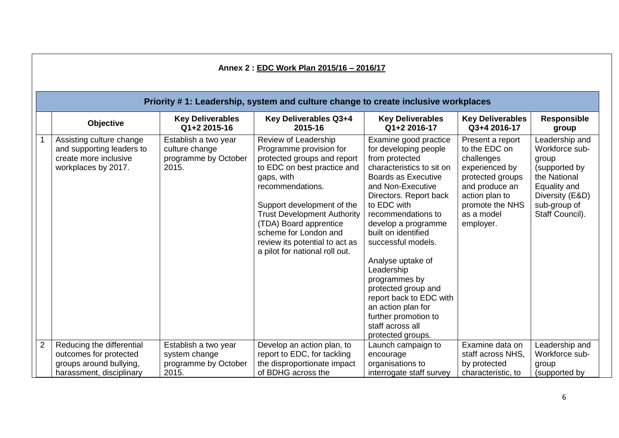|                | Annex 2: EDC Work Plan 2015/16 - 2016/17                                                                   |                                                                         |                                                                                                                                                                                                                                                                                                                                            |                                                                                                                                                                                                                                                                                                                                                                                                                                                                                  |                                                                                                                                                                         |                                                                                                                                                  |  |  |  |
|----------------|------------------------------------------------------------------------------------------------------------|-------------------------------------------------------------------------|--------------------------------------------------------------------------------------------------------------------------------------------------------------------------------------------------------------------------------------------------------------------------------------------------------------------------------------------|----------------------------------------------------------------------------------------------------------------------------------------------------------------------------------------------------------------------------------------------------------------------------------------------------------------------------------------------------------------------------------------------------------------------------------------------------------------------------------|-------------------------------------------------------------------------------------------------------------------------------------------------------------------------|--------------------------------------------------------------------------------------------------------------------------------------------------|--|--|--|
|                | Priority #1: Leadership, system and culture change to create inclusive workplaces                          |                                                                         |                                                                                                                                                                                                                                                                                                                                            |                                                                                                                                                                                                                                                                                                                                                                                                                                                                                  |                                                                                                                                                                         |                                                                                                                                                  |  |  |  |
|                | <b>Objective</b>                                                                                           | <b>Key Deliverables</b><br>Q1+2 2015-16                                 | Key Deliverables Q3+4<br>2015-16                                                                                                                                                                                                                                                                                                           | <b>Key Deliverables</b><br>Q1+2 2016-17                                                                                                                                                                                                                                                                                                                                                                                                                                          | <b>Key Deliverables</b><br>Q3+4 2016-17                                                                                                                                 | <b>Responsible</b><br>group                                                                                                                      |  |  |  |
|                | Assisting culture change<br>and supporting leaders to<br>create more inclusive<br>workplaces by 2017.      | Establish a two year<br>culture change<br>programme by October<br>2015. | Review of Leadership<br>Programme provision for<br>protected groups and report<br>to EDC on best practice and<br>gaps, with<br>recommendations.<br>Support development of the<br><b>Trust Development Authority</b><br>(TDA) Board apprentice<br>scheme for London and<br>review its potential to act as<br>a pilot for national roll out. | Examine good practice<br>for developing people<br>from protected<br>characteristics to sit on<br><b>Boards as Executive</b><br>and Non-Executive<br>Directors. Report back<br>to EDC with<br>recommendations to<br>develop a programme<br>built on identified<br>successful models.<br>Analyse uptake of<br>Leadership<br>programmes by<br>protected group and<br>report back to EDC with<br>an action plan for<br>further promotion to<br>staff across all<br>protected groups. | Present a report<br>to the EDC on<br>challenges<br>experienced by<br>protected groups<br>and produce an<br>action plan to<br>promote the NHS<br>as a model<br>employer. | Leadership and<br>Workforce sub-<br>group<br>(supported by<br>the National<br>Equality and<br>Diversity (E&D)<br>sub-group of<br>Staff Council). |  |  |  |
| $\overline{2}$ | Reducing the differential<br>outcomes for protected<br>groups around bullying,<br>harassment, disciplinary | Establish a two year<br>system change<br>programme by October<br>2015.  | Develop an action plan, to<br>report to EDC, for tackling<br>the disproportionate impact<br>of BDHG across the                                                                                                                                                                                                                             | Launch campaign to<br>encourage<br>organisations to<br>interrogate staff survey                                                                                                                                                                                                                                                                                                                                                                                                  | Examine data on<br>staff across NHS,<br>by protected<br>characteristic, to                                                                                              | Leadership and<br>Workforce sub-<br>group<br>(supported by                                                                                       |  |  |  |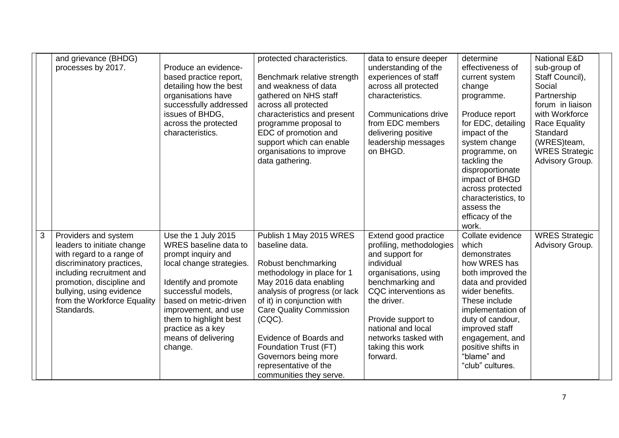|   | and grievance (BHDG)                                   |                                                | protected characteristics.                        | data to ensure deeper                        | determine                          | <b>National E&amp;D</b>         |  |
|---|--------------------------------------------------------|------------------------------------------------|---------------------------------------------------|----------------------------------------------|------------------------------------|---------------------------------|--|
|   | processes by 2017.                                     | Produce an evidence-<br>based practice report, | Benchmark relative strength                       | understanding of the<br>experiences of staff | effectiveness of<br>current system | sub-group of<br>Staff Council), |  |
|   |                                                        | detailing how the best                         | and weakness of data                              | across all protected                         | change                             | Social                          |  |
|   |                                                        | organisations have                             | gathered on NHS staff                             | characteristics.                             | programme.                         | Partnership                     |  |
|   |                                                        | successfully addressed                         | across all protected                              |                                              |                                    | forum in liaison                |  |
|   |                                                        | issues of BHDG,                                | characteristics and present                       | Communications drive                         | Produce report                     | with Workforce                  |  |
|   |                                                        | across the protected                           | programme proposal to                             | from EDC members                             | for EDC, detailing                 | <b>Race Equality</b>            |  |
|   |                                                        | characteristics.                               | EDC of promotion and                              | delivering positive                          | impact of the                      | Standard                        |  |
|   |                                                        |                                                | support which can enable                          | leadership messages                          | system change                      | (WRES)team,                     |  |
|   |                                                        |                                                | organisations to improve                          | on BHGD.                                     | programme, on                      | <b>WRES Strategic</b>           |  |
|   |                                                        |                                                | data gathering.                                   |                                              | tackling the<br>disproportionate   | Advisory Group.                 |  |
|   |                                                        |                                                |                                                   |                                              | impact of BHGD                     |                                 |  |
|   |                                                        |                                                |                                                   |                                              | across protected                   |                                 |  |
|   |                                                        |                                                |                                                   |                                              | characteristics, to                |                                 |  |
|   |                                                        |                                                |                                                   |                                              | assess the                         |                                 |  |
|   |                                                        |                                                |                                                   |                                              | efficacy of the                    |                                 |  |
|   |                                                        |                                                |                                                   |                                              | work.                              |                                 |  |
| 3 | Providers and system                                   | Use the 1 July 2015                            | Publish 1 May 2015 WRES                           | Extend good practice                         | Collate evidence                   | <b>WRES Strategic</b>           |  |
|   | leaders to initiate change                             | WRES baseline data to                          | baseline data.                                    | profiling, methodologies                     | which                              | Advisory Group.                 |  |
|   | with regard to a range of                              | prompt inquiry and                             |                                                   | and support for<br>individual                | demonstrates<br>how WRES has       |                                 |  |
|   | discriminatory practices,<br>including recruitment and | local change strategies.                       | Robust benchmarking<br>methodology in place for 1 | organisations, using                         | both improved the                  |                                 |  |
|   | promotion, discipline and                              | Identify and promote                           | May 2016 data enabling                            | benchmarking and                             | data and provided                  |                                 |  |
|   | bullying, using evidence                               | successful models,                             | analysis of progress (or lack                     | CQC interventions as                         | wider benefits.                    |                                 |  |
|   | from the Workforce Equality                            | based on metric-driven                         | of it) in conjunction with                        | the driver.                                  | These include                      |                                 |  |
|   | Standards.                                             | improvement, and use                           | <b>Care Quality Commission</b>                    |                                              | implementation of                  |                                 |  |
|   |                                                        | them to highlight best                         | $(CQC)$ .                                         | Provide support to                           | duty of candour,                   |                                 |  |
|   |                                                        | practice as a key                              |                                                   | national and local                           | improved staff                     |                                 |  |
|   |                                                        | means of delivering                            | Evidence of Boards and                            | networks tasked with                         | engagement, and                    |                                 |  |
|   |                                                        | change.                                        | Foundation Trust (FT)                             | taking this work                             | positive shifts in                 |                                 |  |
|   |                                                        |                                                | Governors being more                              | forward.                                     | "blame" and                        |                                 |  |
|   |                                                        |                                                | representative of the                             |                                              | "club" cultures.                   |                                 |  |
|   |                                                        |                                                | communities they serve.                           |                                              |                                    |                                 |  |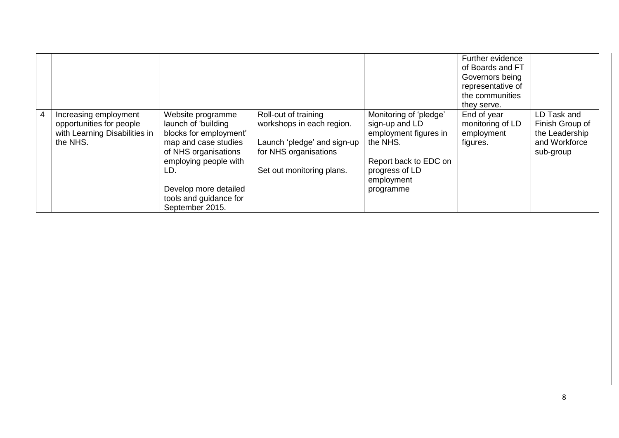|                                                                                                |                                                                                                                                                                                                                          |                                                                                                                                        |                                                                                                                                                     | Further evidence<br>of Boards and FT<br>Governors being<br>representative of<br>the communities<br>they serve. |                                                                                |
|------------------------------------------------------------------------------------------------|--------------------------------------------------------------------------------------------------------------------------------------------------------------------------------------------------------------------------|----------------------------------------------------------------------------------------------------------------------------------------|-----------------------------------------------------------------------------------------------------------------------------------------------------|----------------------------------------------------------------------------------------------------------------|--------------------------------------------------------------------------------|
| Increasing employment<br>opportunities for people<br>with Learning Disabilities in<br>the NHS. | Website programme<br>launch of 'building<br>blocks for employment'<br>map and case studies<br>of NHS organisations<br>employing people with<br>LD.<br>Develop more detailed<br>tools and guidance for<br>September 2015. | Roll-out of training<br>workshops in each region.<br>Launch 'pledge' and sign-up<br>for NHS organisations<br>Set out monitoring plans. | Monitoring of 'pledge'<br>sign-up and LD<br>employment figures in<br>the NHS.<br>Report back to EDC on<br>progress of LD<br>employment<br>programme | End of year<br>monitoring of LD<br>employment<br>figures.                                                      | LD Task and<br>Finish Group of<br>the Leadership<br>and Workforce<br>sub-group |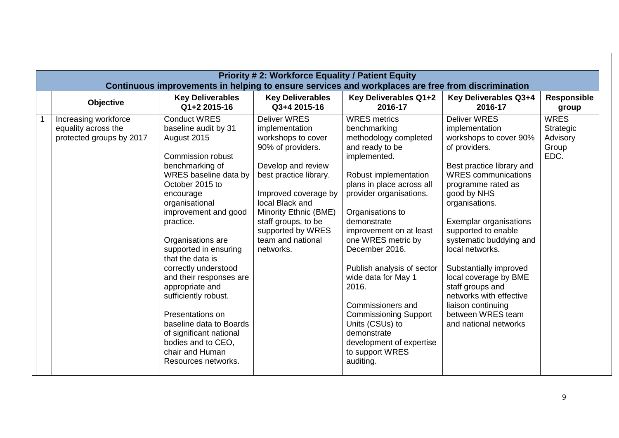| <b>Priority #2: Workforce Equality / Patient Equity</b><br>Continuous improvements in helping to ensure services and workplaces are free from discrimination |                                                                                                                                                                                                                                                                                                                                                                                                                                                                                                                                     |                                                                                                                                                                                                                                                                                    |                                                                                                                                                                                                                                                                                                                                                                                                                                                                                                         |                                                                                                                                                                                                                                                                                                                                                                                                                                                                         |                                                       |  |  |
|--------------------------------------------------------------------------------------------------------------------------------------------------------------|-------------------------------------------------------------------------------------------------------------------------------------------------------------------------------------------------------------------------------------------------------------------------------------------------------------------------------------------------------------------------------------------------------------------------------------------------------------------------------------------------------------------------------------|------------------------------------------------------------------------------------------------------------------------------------------------------------------------------------------------------------------------------------------------------------------------------------|---------------------------------------------------------------------------------------------------------------------------------------------------------------------------------------------------------------------------------------------------------------------------------------------------------------------------------------------------------------------------------------------------------------------------------------------------------------------------------------------------------|-------------------------------------------------------------------------------------------------------------------------------------------------------------------------------------------------------------------------------------------------------------------------------------------------------------------------------------------------------------------------------------------------------------------------------------------------------------------------|-------------------------------------------------------|--|--|
| Objective                                                                                                                                                    | <b>Key Deliverables</b><br>Q1+2 2015-16                                                                                                                                                                                                                                                                                                                                                                                                                                                                                             | <b>Key Deliverables</b><br>Q3+4 2015-16                                                                                                                                                                                                                                            | Key Deliverables Q1+2<br>2016-17                                                                                                                                                                                                                                                                                                                                                                                                                                                                        | Key Deliverables Q3+4<br>2016-17                                                                                                                                                                                                                                                                                                                                                                                                                                        | <b>Responsible</b><br>group                           |  |  |
| Increasing workforce<br>equality across the<br>protected groups by 2017                                                                                      | <b>Conduct WRES</b><br>baseline audit by 31<br>August 2015<br><b>Commission robust</b><br>benchmarking of<br>WRES baseline data by<br>October 2015 to<br>encourage<br>organisational<br>improvement and good<br>practice.<br>Organisations are<br>supported in ensuring<br>that the data is<br>correctly understood<br>and their responses are<br>appropriate and<br>sufficiently robust.<br>Presentations on<br>baseline data to Boards<br>of significant national<br>bodies and to CEO,<br>chair and Human<br>Resources networks. | <b>Deliver WRES</b><br>implementation<br>workshops to cover<br>90% of providers.<br>Develop and review<br>best practice library.<br>Improved coverage by<br>local Black and<br>Minority Ethnic (BME)<br>staff groups, to be<br>supported by WRES<br>team and national<br>networks. | <b>WRES</b> metrics<br>benchmarking<br>methodology completed<br>and ready to be<br>implemented.<br>Robust implementation<br>plans in place across all<br>provider organisations.<br>Organisations to<br>demonstrate<br>improvement on at least<br>one WRES metric by<br>December 2016.<br>Publish analysis of sector<br>wide data for May 1<br>2016.<br>Commissioners and<br><b>Commissioning Support</b><br>Units (CSUs) to<br>demonstrate<br>development of expertise<br>to support WRES<br>auditing. | <b>Deliver WRES</b><br>implementation<br>workshops to cover 90%<br>of providers.<br>Best practice library and<br><b>WRES</b> communications<br>programme rated as<br>good by NHS<br>organisations.<br>Exemplar organisations<br>supported to enable<br>systematic buddying and<br>local networks.<br>Substantially improved<br>local coverage by BME<br>staff groups and<br>networks with effective<br>liaison continuing<br>between WRES team<br>and national networks | <b>WRES</b><br>Strategic<br>Advisory<br>Group<br>EDC. |  |  |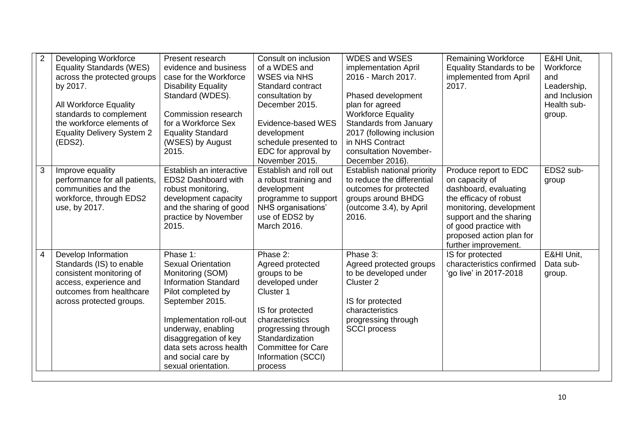| $\overline{2}$ | Developing Workforce<br><b>Equality Standards (WES)</b>                                                                                                                   | Present research<br>evidence and business                                                                                                                                                                                                                                           | Consult on inclusion<br>of a WDES and                                                                                                                                                                                       | <b>WDES and WSES</b><br>implementation April                                                                                                                                                 | <b>Remaining Workforce</b><br><b>Equality Standards to be</b>                                                                                                                                                                 | E&HI Unit,<br>Workforce                                      |
|----------------|---------------------------------------------------------------------------------------------------------------------------------------------------------------------------|-------------------------------------------------------------------------------------------------------------------------------------------------------------------------------------------------------------------------------------------------------------------------------------|-----------------------------------------------------------------------------------------------------------------------------------------------------------------------------------------------------------------------------|----------------------------------------------------------------------------------------------------------------------------------------------------------------------------------------------|-------------------------------------------------------------------------------------------------------------------------------------------------------------------------------------------------------------------------------|--------------------------------------------------------------|
|                | across the protected groups<br>by 2017.<br>All Workforce Equality<br>standards to complement<br>the workforce elements of<br><b>Equality Delivery System 2</b><br>(EDS2). | case for the Workforce<br><b>Disability Equality</b><br>Standard (WDES).<br>Commission research<br>for a Workforce Sex<br><b>Equality Standard</b><br>(WSES) by August<br>2015.                                                                                                     | <b>WSES via NHS</b><br>Standard contract<br>consultation by<br>December 2015.<br>Evidence-based WES<br>development<br>schedule presented to<br>EDC for approval by                                                          | 2016 - March 2017.<br>Phased development<br>plan for agreed<br><b>Workforce Equality</b><br>Standards from January<br>2017 (following inclusion<br>in NHS Contract<br>consultation November- | implemented from April<br>2017.                                                                                                                                                                                               | and<br>Leadership,<br>and Inclusion<br>Health sub-<br>group. |
| 3              | Improve equality<br>performance for all patients,<br>communities and the<br>workforce, through EDS2<br>use, by 2017.                                                      | Establish an interactive<br>EDS2 Dashboard with<br>robust monitoring,<br>development capacity<br>and the sharing of good<br>practice by November<br>2015.                                                                                                                           | November 2015.<br>Establish and roll out<br>a robust training and<br>development<br>programme to support<br>NHS organisations'<br>use of EDS2 by<br>March 2016.                                                             | December 2016).<br>Establish national priority<br>to reduce the differential<br>outcomes for protected<br>groups around BHDG<br>(outcome 3.4), by April<br>2016.                             | Produce report to EDC<br>on capacity of<br>dashboard, evaluating<br>the efficacy of robust<br>monitoring, development<br>support and the sharing<br>of good practice with<br>proposed action plan for<br>further improvement. | EDS2 sub-<br>group                                           |
| $\overline{4}$ | Develop Information<br>Standards (IS) to enable<br>consistent monitoring of<br>access, experience and<br>outcomes from healthcare<br>across protected groups.             | Phase 1:<br><b>Sexual Orientation</b><br>Monitoring (SOM)<br><b>Information Standard</b><br>Pilot completed by<br>September 2015.<br>Implementation roll-out<br>underway, enabling<br>disaggregation of key<br>data sets across health<br>and social care by<br>sexual orientation. | Phase 2:<br>Agreed protected<br>groups to be<br>developed under<br>Cluster 1<br>IS for protected<br>characteristics<br>progressing through<br>Standardization<br><b>Committee for Care</b><br>Information (SCCI)<br>process | Phase 3:<br>Agreed protected groups<br>to be developed under<br>Cluster <sub>2</sub><br>IS for protected<br>characteristics<br>progressing through<br><b>SCCI</b> process                    | IS for protected<br>characteristics confirmed<br>'go live' in 2017-2018                                                                                                                                                       | E&HI Unit.<br>Data sub-<br>group.                            |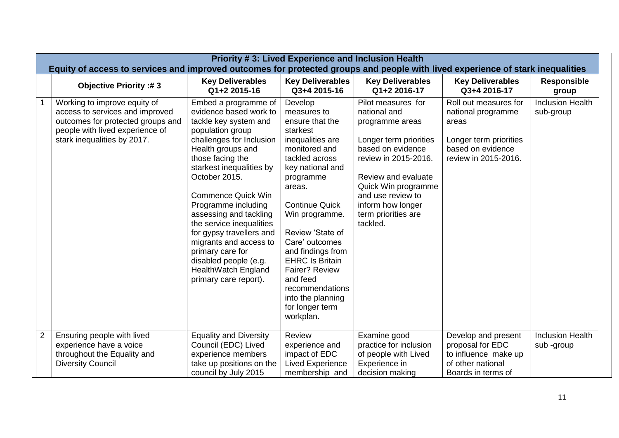|                | <b>Priority #3: Lived Experience and Inclusion Health</b><br>Equity of access to services and improved outcomes for protected groups and people with lived experience of stark inequalities |                                                                                                                                                                                                                                                                                                                                                                                                                                                                            |                                                                                                                                                                                                                                                                                                                                                                                               |                                                                                                                                                                                                                                                         |                                                                                                                             |                                       |  |
|----------------|---------------------------------------------------------------------------------------------------------------------------------------------------------------------------------------------|----------------------------------------------------------------------------------------------------------------------------------------------------------------------------------------------------------------------------------------------------------------------------------------------------------------------------------------------------------------------------------------------------------------------------------------------------------------------------|-----------------------------------------------------------------------------------------------------------------------------------------------------------------------------------------------------------------------------------------------------------------------------------------------------------------------------------------------------------------------------------------------|---------------------------------------------------------------------------------------------------------------------------------------------------------------------------------------------------------------------------------------------------------|-----------------------------------------------------------------------------------------------------------------------------|---------------------------------------|--|
|                | <b>Objective Priority:#3</b>                                                                                                                                                                | <b>Key Deliverables</b><br>Q1+2 2015-16                                                                                                                                                                                                                                                                                                                                                                                                                                    | <b>Key Deliverables</b><br>Q3+4 2015-16                                                                                                                                                                                                                                                                                                                                                       | <b>Key Deliverables</b><br>Q1+2 2016-17                                                                                                                                                                                                                 | <b>Key Deliverables</b><br>Q3+4 2016-17                                                                                     | <b>Responsible</b><br>group           |  |
|                | Working to improve equity of<br>access to services and improved<br>outcomes for protected groups and<br>people with lived experience of<br>stark inequalities by 2017.                      | Embed a programme of<br>evidence based work to<br>tackle key system and<br>population group<br>challenges for Inclusion<br>Health groups and<br>those facing the<br>starkest inequalities by<br>October 2015.<br><b>Commence Quick Win</b><br>Programme including<br>assessing and tackling<br>the service inequalities<br>for gypsy travellers and<br>migrants and access to<br>primary care for<br>disabled people (e.g.<br>HealthWatch England<br>primary care report). | Develop<br>measures to<br>ensure that the<br>starkest<br>inequalities are<br>monitored and<br>tackled across<br>key national and<br>programme<br>areas.<br><b>Continue Quick</b><br>Win programme.<br>Review 'State of<br>Care' outcomes<br>and findings from<br><b>EHRC Is Britain</b><br>Fairer? Review<br>and feed<br>recommendations<br>into the planning<br>for longer term<br>workplan. | Pilot measures for<br>national and<br>programme areas<br>Longer term priorities<br>based on evidence<br>review in 2015-2016.<br>Review and evaluate<br>Quick Win programme<br>and use review to<br>inform how longer<br>term priorities are<br>tackled. | Roll out measures for<br>national programme<br>areas<br>Longer term priorities<br>based on evidence<br>review in 2015-2016. | <b>Inclusion Health</b><br>sub-group  |  |
| $\overline{2}$ | Ensuring people with lived<br>experience have a voice<br>throughout the Equality and                                                                                                        | <b>Equality and Diversity</b><br>Council (EDC) Lived<br>experience members                                                                                                                                                                                                                                                                                                                                                                                                 | Review<br>experience and<br>impact of EDC                                                                                                                                                                                                                                                                                                                                                     | Examine good<br>practice for inclusion<br>of people with Lived                                                                                                                                                                                          | Develop and present<br>proposal for EDC<br>to influence make up                                                             | <b>Inclusion Health</b><br>sub -group |  |
|                | <b>Diversity Council</b>                                                                                                                                                                    | take up positions on the<br>council by July 2015                                                                                                                                                                                                                                                                                                                                                                                                                           | <b>Lived Experience</b><br>membership and                                                                                                                                                                                                                                                                                                                                                     | Experience in<br>decision making                                                                                                                                                                                                                        | of other national<br>Boards in terms of                                                                                     |                                       |  |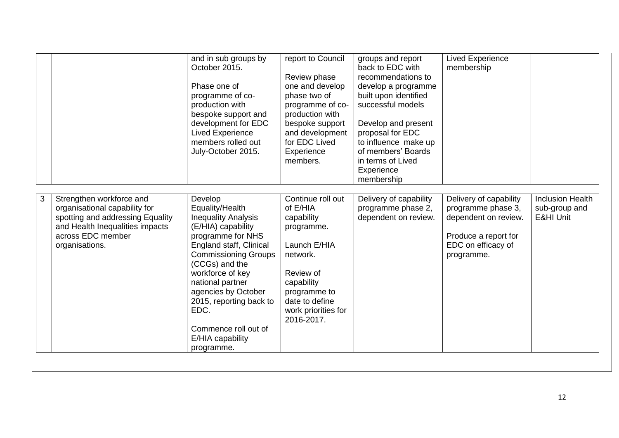|    |                                                                                                                                                                         | and in sub groups by<br>October 2015.<br>Phase one of<br>programme of co-<br>production with<br>bespoke support and<br>development for EDC<br><b>Lived Experience</b><br>members rolled out<br>July-October 2015.                                                                                                                           | report to Council<br>Review phase<br>one and develop<br>phase two of<br>programme of co-<br>production with<br>bespoke support<br>and development<br>for EDC Lived<br>Experience<br>members. | groups and report<br>back to EDC with<br>recommendations to<br>develop a programme<br>built upon identified<br>successful models<br>Develop and present<br>proposal for EDC<br>to influence make up<br>of members' Boards<br>in terms of Lived<br>Experience<br>membership | <b>Lived Experience</b><br>membership                                                                                            |                                                                  |
|----|-------------------------------------------------------------------------------------------------------------------------------------------------------------------------|---------------------------------------------------------------------------------------------------------------------------------------------------------------------------------------------------------------------------------------------------------------------------------------------------------------------------------------------|----------------------------------------------------------------------------------------------------------------------------------------------------------------------------------------------|----------------------------------------------------------------------------------------------------------------------------------------------------------------------------------------------------------------------------------------------------------------------------|----------------------------------------------------------------------------------------------------------------------------------|------------------------------------------------------------------|
| 3. | Strengthen workforce and<br>organisational capability for<br>spotting and addressing Equality<br>and Health Inequalities impacts<br>across EDC member<br>organisations. | Develop<br>Equality/Health<br><b>Inequality Analysis</b><br>(E/HIA) capability<br>programme for NHS<br>England staff, Clinical<br><b>Commissioning Groups</b><br>(CCGs) and the<br>workforce of key<br>national partner<br>agencies by October<br>2015, reporting back to<br>EDC.<br>Commence roll out of<br>E/HIA capability<br>programme. | Continue roll out<br>of E/HIA<br>capability<br>programme.<br>Launch E/HIA<br>network.<br>Review of<br>capability<br>programme to<br>date to define<br>work priorities for<br>2016-2017.      | Delivery of capability<br>programme phase 2,<br>dependent on review.                                                                                                                                                                                                       | Delivery of capability<br>programme phase 3,<br>dependent on review.<br>Produce a report for<br>EDC on efficacy of<br>programme. | <b>Inclusion Health</b><br>sub-group and<br><b>E&amp;HI Unit</b> |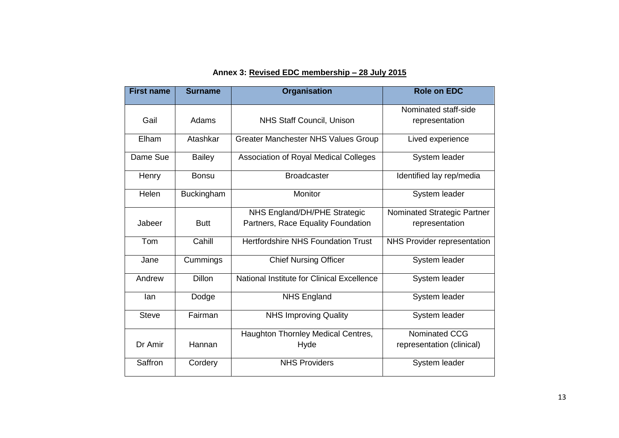### **Annex 3: Revised EDC membership – 28 July 2015**

| <b>First name</b><br><b>Surname</b> |                                 | <b>Organisation</b>                        | <b>Role on EDC</b>          |
|-------------------------------------|---------------------------------|--------------------------------------------|-----------------------------|
|                                     |                                 |                                            | Nominated staff-side        |
| Gail                                | Adams                           | NHS Staff Council, Unison                  | representation              |
| Elham                               | Atashkar                        | <b>Greater Manchester NHS Values Group</b> | Lived experience            |
| Dame Sue                            | <b>Bailey</b>                   | Association of Royal Medical Colleges      | System leader               |
| Henry                               | <b>Bonsu</b>                    | <b>Broadcaster</b>                         | Identified lay rep/media    |
| Helen                               | Buckingham                      | Monitor                                    | System leader               |
|                                     |                                 | NHS England/DH/PHE Strategic               | Nominated Strategic Partner |
| Jabeer                              | <b>Butt</b>                     | Partners, Race Equality Foundation         | representation              |
| Tom                                 | Cahill                          | <b>Hertfordshire NHS Foundation Trust</b>  | NHS Provider representation |
| Jane                                | Cummings                        | <b>Chief Nursing Officer</b>               | System leader               |
| Andrew                              | <b>Dillon</b>                   | National Institute for Clinical Excellence | System leader               |
| lan                                 | Dodge                           | <b>NHS England</b>                         | System leader               |
| <b>Steve</b>                        | Fairman                         | <b>NHS Improving Quality</b>               | System leader               |
|                                     |                                 | Haughton Thornley Medical Centres,         | Nominated CCG               |
| Dr Amir                             | Hannan                          | Hyde                                       | representation (clinical)   |
| Saffron                             | <b>NHS Providers</b><br>Cordery |                                            | System leader               |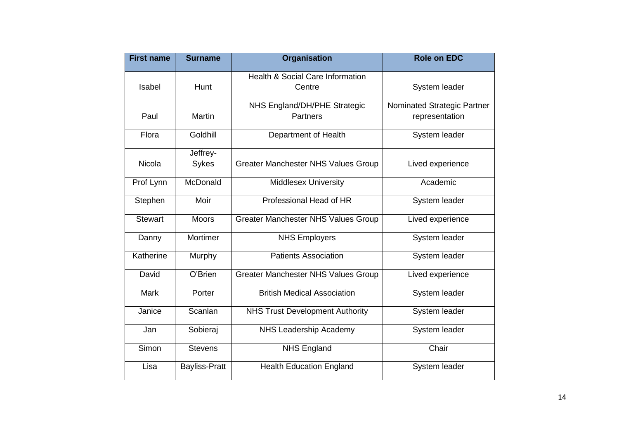| <b>First name</b> | <b>Surname</b>                                                | <b>Organisation</b>                        | <b>Role on EDC</b>                            |
|-------------------|---------------------------------------------------------------|--------------------------------------------|-----------------------------------------------|
| Isabel            | <b>Health &amp; Social Care Information</b><br>Hunt<br>Centre |                                            | System leader                                 |
| Paul              | <b>Martin</b>                                                 | NHS England/DH/PHE Strategic<br>Partners   | Nominated Strategic Partner<br>representation |
| Flora             | Goldhill                                                      | Department of Health                       | System leader                                 |
| <b>Nicola</b>     | Jeffrey-<br>Sykes                                             | <b>Greater Manchester NHS Values Group</b> | Lived experience                              |
| Prof Lynn         | McDonald                                                      | <b>Middlesex University</b>                | Academic                                      |
| Stephen           | Moir                                                          | Professional Head of HR                    | System leader                                 |
| <b>Stewart</b>    | <b>Moors</b>                                                  | <b>Greater Manchester NHS Values Group</b> | Lived experience                              |
| Danny             | Mortimer                                                      | <b>NHS Employers</b>                       | System leader                                 |
| Katherine         | Murphy                                                        | <b>Patients Association</b>                | System leader                                 |
| David             | O'Brien                                                       | <b>Greater Manchester NHS Values Group</b> | Lived experience                              |
| <b>Mark</b>       | Porter                                                        | <b>British Medical Association</b>         | System leader                                 |
| Janice            | Scanlan                                                       | <b>NHS Trust Development Authority</b>     | System leader                                 |
| Jan               | Sobieraj                                                      | NHS Leadership Academy                     | System leader                                 |
| Simon             | <b>Stevens</b>                                                | <b>NHS England</b>                         | Chair                                         |
| Lisa              | <b>Bayliss-Pratt</b>                                          | <b>Health Education England</b>            | System leader                                 |